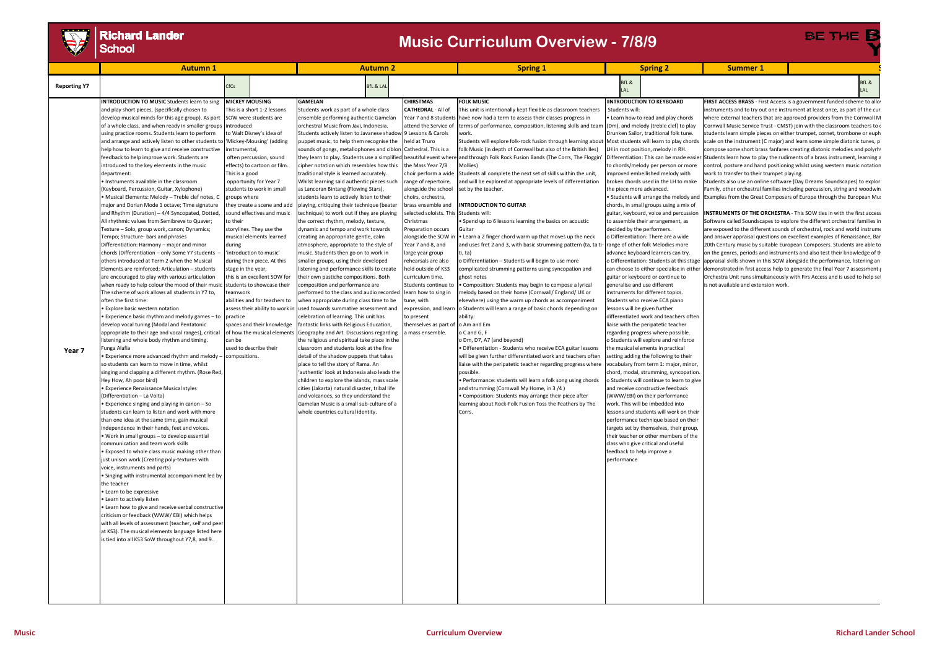

# **Richard Lander**<br>School

**BE THE** 

|                     | <b>Autumn1</b>                                                                                                                                                                                                                                                                                                                                                                                                                                                                                                                                                                                                                                                                                                                                                                                                                                                                                                                                                                                                                                                                                                                                                                                                                                                                                                                                                                                                                                                                                                                                                                                                                                                                                                                                                                                                                                                                                                                                                                                                                                                                                                                                                                                                                                                                                                                                                                                                                                                                                                                                                                                                                                            |                                                                                                                                                                                       |                                                                                                                                                                                                                                                                                                                                                                                                                                                                                                                                                                      | <b>Autumn 2</b>                                                                                                                                                                                                                                                                                                                                                                                                                                                                                                                                                                                                                                                                                                                                                                                                                                                                                                                                                                                                                                                                                                                                                                                                                                                                                                                                                                                                                                                                                                                                                                                                                                                                                                                                                                                     |                                                                                                                                                                                                                                                                                                                                                                                                                                                                                                                                                                                                                            | <b>Spring 1</b>                                                                                                                                                                                                                                                                                                                                                                                                                                                                                                                                                                                                                                                                                                                                                                                                                                                                                                                                                                                                                                                                                                                                                                                                                                                                                                                                                                                                                                                                                                                                                                                                                                                                                                                                                                                                                                                          |                                                                                                                                                                                        | <b>Spring 2</b>                                                                                                                                                                                                                                                                                                                                                                                                                                                                                                                                                                                                                                                                                                                                                                                                                                                                                                                                                                                                                                                                                                                                                                                                                                                                                                                                                                                                                                                                                                   | <b>Summer 1</b>                                                                    |                                                                                                                                                                                                                                                                                                                                                                                                                                                                                                                                                                                                                                                                                                                                                                                                                                                                                                                                                                                                                                                                                                                                                                                                                                                                                                                                                                                                                                                                                                                                                                                                                                                                                                                 |
|---------------------|-----------------------------------------------------------------------------------------------------------------------------------------------------------------------------------------------------------------------------------------------------------------------------------------------------------------------------------------------------------------------------------------------------------------------------------------------------------------------------------------------------------------------------------------------------------------------------------------------------------------------------------------------------------------------------------------------------------------------------------------------------------------------------------------------------------------------------------------------------------------------------------------------------------------------------------------------------------------------------------------------------------------------------------------------------------------------------------------------------------------------------------------------------------------------------------------------------------------------------------------------------------------------------------------------------------------------------------------------------------------------------------------------------------------------------------------------------------------------------------------------------------------------------------------------------------------------------------------------------------------------------------------------------------------------------------------------------------------------------------------------------------------------------------------------------------------------------------------------------------------------------------------------------------------------------------------------------------------------------------------------------------------------------------------------------------------------------------------------------------------------------------------------------------------------------------------------------------------------------------------------------------------------------------------------------------------------------------------------------------------------------------------------------------------------------------------------------------------------------------------------------------------------------------------------------------------------------------------------------------------------------------------------------------|---------------------------------------------------------------------------------------------------------------------------------------------------------------------------------------|----------------------------------------------------------------------------------------------------------------------------------------------------------------------------------------------------------------------------------------------------------------------------------------------------------------------------------------------------------------------------------------------------------------------------------------------------------------------------------------------------------------------------------------------------------------------|-----------------------------------------------------------------------------------------------------------------------------------------------------------------------------------------------------------------------------------------------------------------------------------------------------------------------------------------------------------------------------------------------------------------------------------------------------------------------------------------------------------------------------------------------------------------------------------------------------------------------------------------------------------------------------------------------------------------------------------------------------------------------------------------------------------------------------------------------------------------------------------------------------------------------------------------------------------------------------------------------------------------------------------------------------------------------------------------------------------------------------------------------------------------------------------------------------------------------------------------------------------------------------------------------------------------------------------------------------------------------------------------------------------------------------------------------------------------------------------------------------------------------------------------------------------------------------------------------------------------------------------------------------------------------------------------------------------------------------------------------------------------------------------------------------|----------------------------------------------------------------------------------------------------------------------------------------------------------------------------------------------------------------------------------------------------------------------------------------------------------------------------------------------------------------------------------------------------------------------------------------------------------------------------------------------------------------------------------------------------------------------------------------------------------------------------|--------------------------------------------------------------------------------------------------------------------------------------------------------------------------------------------------------------------------------------------------------------------------------------------------------------------------------------------------------------------------------------------------------------------------------------------------------------------------------------------------------------------------------------------------------------------------------------------------------------------------------------------------------------------------------------------------------------------------------------------------------------------------------------------------------------------------------------------------------------------------------------------------------------------------------------------------------------------------------------------------------------------------------------------------------------------------------------------------------------------------------------------------------------------------------------------------------------------------------------------------------------------------------------------------------------------------------------------------------------------------------------------------------------------------------------------------------------------------------------------------------------------------------------------------------------------------------------------------------------------------------------------------------------------------------------------------------------------------------------------------------------------------------------------------------------------------------------------------------------------------|----------------------------------------------------------------------------------------------------------------------------------------------------------------------------------------|-------------------------------------------------------------------------------------------------------------------------------------------------------------------------------------------------------------------------------------------------------------------------------------------------------------------------------------------------------------------------------------------------------------------------------------------------------------------------------------------------------------------------------------------------------------------------------------------------------------------------------------------------------------------------------------------------------------------------------------------------------------------------------------------------------------------------------------------------------------------------------------------------------------------------------------------------------------------------------------------------------------------------------------------------------------------------------------------------------------------------------------------------------------------------------------------------------------------------------------------------------------------------------------------------------------------------------------------------------------------------------------------------------------------------------------------------------------------------------------------------------------------|------------------------------------------------------------------------------------|-----------------------------------------------------------------------------------------------------------------------------------------------------------------------------------------------------------------------------------------------------------------------------------------------------------------------------------------------------------------------------------------------------------------------------------------------------------------------------------------------------------------------------------------------------------------------------------------------------------------------------------------------------------------------------------------------------------------------------------------------------------------------------------------------------------------------------------------------------------------------------------------------------------------------------------------------------------------------------------------------------------------------------------------------------------------------------------------------------------------------------------------------------------------------------------------------------------------------------------------------------------------------------------------------------------------------------------------------------------------------------------------------------------------------------------------------------------------------------------------------------------------------------------------------------------------------------------------------------------------------------------------------------------------------------------------------------------------|
| <b>Reporting Y7</b> |                                                                                                                                                                                                                                                                                                                                                                                                                                                                                                                                                                                                                                                                                                                                                                                                                                                                                                                                                                                                                                                                                                                                                                                                                                                                                                                                                                                                                                                                                                                                                                                                                                                                                                                                                                                                                                                                                                                                                                                                                                                                                                                                                                                                                                                                                                                                                                                                                                                                                                                                                                                                                                                           | CfCs                                                                                                                                                                                  |                                                                                                                                                                                                                                                                                                                                                                                                                                                                                                                                                                      | <b>BfL &amp; LAI</b>                                                                                                                                                                                                                                                                                                                                                                                                                                                                                                                                                                                                                                                                                                                                                                                                                                                                                                                                                                                                                                                                                                                                                                                                                                                                                                                                                                                                                                                                                                                                                                                                                                                                                                                                                                                |                                                                                                                                                                                                                                                                                                                                                                                                                                                                                                                                                                                                                            |                                                                                                                                                                                                                                                                                                                                                                                                                                                                                                                                                                                                                                                                                                                                                                                                                                                                                                                                                                                                                                                                                                                                                                                                                                                                                                                                                                                                                                                                                                                                                                                                                                                                                                                                                                                                                                                                          | BfL &                                                                                                                                                                                  |                                                                                                                                                                                                                                                                                                                                                                                                                                                                                                                                                                                                                                                                                                                                                                                                                                                                                                                                                                                                                                                                                                                                                                                                                                                                                                                                                                                                                                                                                                                   |                                                                                    | BfL &<br>lal                                                                                                                                                                                                                                                                                                                                                                                                                                                                                                                                                                                                                                                                                                                                                                                                                                                                                                                                                                                                                                                                                                                                                                                                                                                                                                                                                                                                                                                                                                                                                                                                                                                                                                    |
| Year 7              | <b>INTRODUCTION TO MUSIC</b> Students learn to sing<br>and play short pieces, (specifically chosen to<br>develop musical minds for this age group). As part<br>of a whole class, and when ready in smaller groups<br>using practice rooms. Students learn to perform<br>and arrange and actively listen to other students to<br>help how to learn to give and receive constructive<br>feedback to help improve work. Students are<br>introduced to the key elements in the music<br>department:<br>Instruments available in the classroom<br>Keyboard, Percussion, Guitar, Xylophone)<br>• Musical Elements: Melody – Treble clef notes, C<br>major and Dorian Mode 1 octave; Time signature<br>and Rhythm (Duration) – 4/4 Syncopated, Dotted<br>All rhythmic values from Semibreve to Quaver;<br>Texture – Solo, group work, canon; Dynamics;<br>Tempo; Structure- bars and phrases<br>Differentiation: Harmony – major and minor<br>chords (Differentiation - only Some Y7 students<br>others introduced at Term 2 when the Musical<br>Elements are reinforced; Articulation - students<br>are encouraged to play with various articulation<br>when ready to help colour the mood of their music<br>The scheme of work allows all students in Y7 to,<br>often the first time:<br>Explore basic western notation<br>Experience basic rhythm and melody games – to<br>develop vocal tuning (Modal and Pentatonic<br>appropriate to their age and vocal ranges), critical<br>listening and whole body rhythm and timing.<br><sup>=</sup> unga Alafia<br>Experience more advanced rhythm and melody<br>so students can learn to move in time, whilst<br>singing and clapping a different rhythm. (Rose Red,<br>Hey How, Ah poor bird)<br><b>Experience Renaissance Musical styles</b><br>Differentiation - La Volta)<br>Experience singing and playing in canon – So<br>students can learn to listen and work with more<br>than one idea at the same time, gain musical<br>independence in their hands, feet and voices.<br>. Work in small groups - to develop essential<br>communication and team work skills<br>• Exposed to whole class music making other than<br>just unison work (Creating poly-textures with<br>voice, instruments and parts)<br>· Singing with instrumental accompaniment led by<br>the teacher<br>• Learn to be expressive<br>• Learn to actively listen<br>• Learn how to give and receive verbal constructive<br>criticism or feedback (WWW/EBI) which helps<br>with all levels of assessment (teacher, self and peer<br>at KS3). The musical elements language listed here<br>is tied into all KS3 SoW throughout Y7,8, and 9 | <b>MICKEY MOUSING</b><br>introduced<br>instrumental,<br>This is a good<br>groups where<br>to their<br>during<br>stage in the year,<br>teamwork<br>practice<br>can be<br>compositions. | This is a short 1-2 lessons<br>SOW were students are<br>to Walt Disney's idea of<br>'Mickey-Mousing' (adding<br>often percussion, sound<br>effects) to cartoon or film.<br>opportunity for Year 7<br>students to work in small<br>they create a scene and add<br>sound effectives and music<br>storylines. They use the<br>musical elements learned<br>'introduction to music'<br>during their piece. At this<br>this is an excellent SOW for<br>students to showcase their<br>abilities and for teachers to<br>spaces and their knowledge<br>used to describe their | <b>GAMELAN</b><br>Students work as part of a whole class<br>ensemble performing authentic Gamelan<br>orchestral Music from Javi, Indonesia.<br>Students actively listen to Javanese shadow 9 Lessons & Carols<br>puppet music, to help them recognise the<br>sounds of gongs, metallophones and ciblon<br>cipher notation which resembles how this<br>traditional style is learned accurately.<br>Whilst learning said authentic pieces such<br>as Lancoran Bintang (Flowing Stars),<br>students learn to actively listen to their<br>playing, critiquing their technique (beater<br>echnique) to work out if they are playing<br>the correct rhythm, melody, texture,<br>dynamic and tempo and work towards<br>creating an appropriate gentle, calm<br>atmosphere, appropriate to the style of<br>music. Students then go on to work in<br>smaller groups, using their developed<br>listening and performance skills to create<br>heir own pastiche compositions. Both<br>omposition and performance are<br>performed to the class and audio recorded<br>when appropriate during class time to be<br>assess their ability to work in used towards summative assessment and<br>celebration of learning. This unit has<br>antastic links with Religious Education,<br>of how the musical elements Geography and Art. Discussions regarding<br>the religious and spiritual take place in the<br>classroom and students look at the fine<br>detail of the shadow puppets that takes<br>place to tell the story of Rama. An<br>'authentic' look at Indonesia also leads the<br>children to explore the islands, mass scale<br>cities (Jakarta) natural disaster, tribal life<br>and volcanoes, so they understand the<br>Gamelan Music is a small sub-culture of a<br>whole countries cultural identity | <b>CHIRSTMAS</b><br><b>CATHEDRAL - All of</b><br>Year 7 and 8 students<br>attend the Service of<br>held at Truro<br>Cathedral. This is a<br>the Mass Year 7/8<br>choir perform a wide<br>range of repertoire,<br>alongside the school<br>choirs, orchestra,<br>brass ensemble and<br>selected soloists. This Students will:<br>Christmas<br>Preparation occurs<br>alongside the SOW ir<br>Year 7 and 8, and<br>large year group<br>rehearsals are also<br>held outside of KS3<br>curriculum time.<br>Students continue to<br>learn how to sing in<br>tune, with<br>to present<br>themselves as part of<br>a mass ensemble. | <b>FOLK MUSIC</b><br>This unit is intentionally kept flexible as classroom teachers<br>have now had a term to assess their classes progress in<br>terms of performance, composition, listening skills and tean<br>vork.<br>Students will explore folk-rock fusion through learning about   Most students will learn to play chords<br>folk Music (in depth of Cornwall but also of the British Iles)<br>hey learn to play. Students use a simplified beautiful event where and through Folk Rock Fusion Bands (The Corrs, The Floggin<br>Mollies)<br>Students all complete the next set of skills within the unit,<br>and will be explored at appropriate levels of differentiation<br>set by the teacher.<br><b>INTRODUCTION TO GUITAR</b><br>• Spend up to 6 lessons learning the basics on acoustic<br>Guitar<br>• Learn a 2 finger chord warm up that moves up the neck<br>and uses fret 2 and 3, with basic strumming pattern (ta, ta<br>i, ta)<br>Differentiation – Students will begin to use more<br>omplicated strumming patterns using syncopation and<br>ghost notes<br>• Composition: Students may begin to compose a lyrical<br>melody based on their home (Cornwall/ England/ UK or<br>elsewhere) using the warm up chords as accompaniment<br>expression, and learn to Students will learn a range of basic chords depending on<br>ability:<br>o Am and Em<br>o C and G, F<br>o Dm, D7, A7 (and beyond)<br>• Differentiation - Students who receive ECA guitar lessons<br>will be given further differentiated work and teachers often<br>liaise with the peripatetic teacher regarding progress where<br>possible<br>• Performance: students will learn a folk song using chords<br>and strumming (Cornwall My Home, in 3/4)<br>Composition: Students may arrange their piece after<br>learning about Rock-Folk Fusion Toss the Feathers by The<br>orrs. | Students will:<br>the piece more advanced.<br>decided by the performers.<br>generalise and use different<br>lessons will be given further<br>feedback to help improve a<br>performance | <b>IINTRODUCTION TO KEYBOARD</b><br>• Learn how to read and play chords<br>(Dm), and melody (treble clef) to play<br>Drunken Sailor, traditional folk tune.<br>LH in root position, melody in RH.<br>to chords/melody per person or more<br>improved embellished melody with<br>broken chords used in the LH to make<br>• Students will arrange the melody and<br>chords, in small groups using a mix of<br>guitar, keyboard, voice and percussion<br>to assemble their arrangement, as<br>o Differentiation: There are a wide<br>range of other folk Melodies more<br>advance keyboard learners can try.<br>o Differentiation: Students at this stage<br>can choose to either specialise in either<br>guitar or keyboard or continue to<br>instruments for different topics.<br>Students who receive ECA piano<br>differentiated work and teachers often<br>liaise with the peripatetic teacher<br>egarding progress where possible.<br>o Students will explore and reinforce<br>the musical elements in practical<br>setting adding the following to their<br>vocabulary from term 1: major, minor,<br>chord, modal, strumming, syncopation.<br>o Students will continue to learn to give<br>and receive constructive feedback<br>WWW/EBI) on their performance<br>work. This will be imbedded into<br>lessons and students will work on thei<br>performance technique based on their<br>targets set by themselves, their group,<br>their teacher or other members of the<br>class who give critical and useful | work to transfer to their trumpet playing.<br>is not available and extension work. | <b>FIRST ACCESS BRASS</b> - First Access is a government funded scheme to allo<br>nstruments and to try out one instrument at least once, as part of the cur<br>where external teachers that are approved providers from the Cornwall M<br>Cornwall Music Service Trust - CMST) join with the classroom teachers to<br>students learn simple pieces on either trumpet, cornet, trombone or euph<br>scale on the instrument (C major) and learn some simple diatonic tunes, p<br>compose some short brass fanfares creating diatonic melodies and polyrh<br>Differentiation: This can be made easier Students learn how to play the rudiments of a brass instrument, learning a<br>control, posture and hand positioning whilst using western music notatior<br>Students also use an online software (Day Dreams Soundscapes) to explor<br>Family, other orchestral families including percussion, string and woodwin<br>Examples from the Great Composers of Europe through the European Mu<br>INSTRUMENTS OF THE ORCHESTRA - This SOW ties in with the first access<br>Software called Soundscapes to explore the different orchestral families in<br>are exposed to the different sounds of orchestral, rock and world instrume<br>and answer appraisal questions on excellent examples of Renaissance, Bar<br>20th Century music by suitable European Composers. Students are able to<br>on the genres, periods and instruments and also test their knowledge of tl<br>appraisal skills shown in this SOW alongside the performance, listening an<br>demonstrated in first access help to generate the final Year 7 assessment<br>Orchestra Unit runs simultaneously with Firs Access and is used to help se |

## **Music Curriculum Overview - 7/8/9**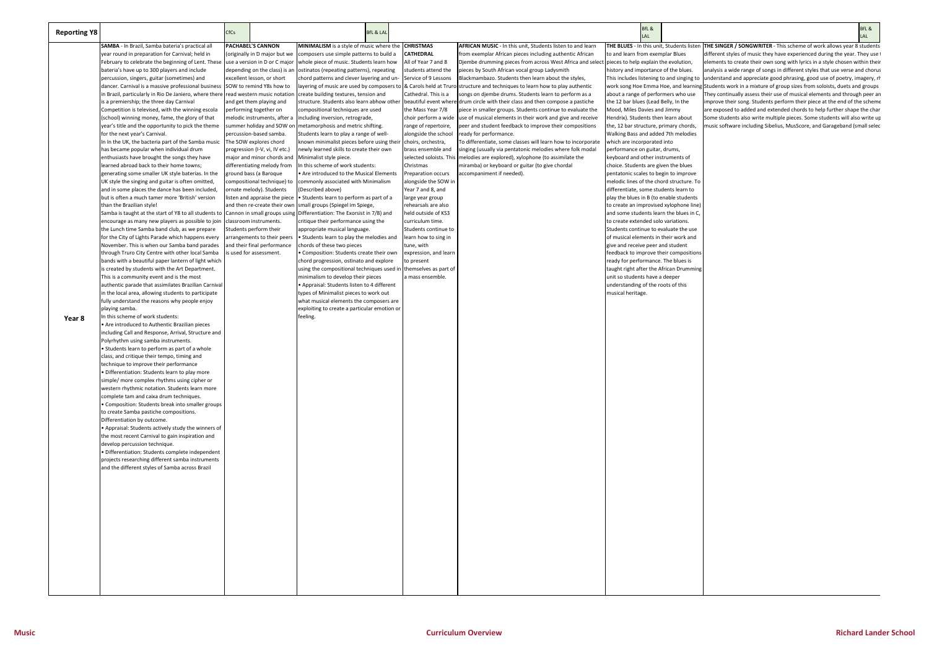| <b>Reporting Y8</b> |                                                                                                                               | <b>CfCs</b> |                                                      | <b>BfL &amp; LAL</b>                                                                |                                            |                                                                                                                                         | BfL &                                                                             | BfL &<br>LAL                                                                                                                                   |
|---------------------|-------------------------------------------------------------------------------------------------------------------------------|-------------|------------------------------------------------------|-------------------------------------------------------------------------------------|--------------------------------------------|-----------------------------------------------------------------------------------------------------------------------------------------|-----------------------------------------------------------------------------------|------------------------------------------------------------------------------------------------------------------------------------------------|
|                     | SAMBA - In Brazil, Samba bateria's practical all                                                                              |             | <b>PACHABEL'S CANNON</b>                             | MINIMALISM is a style of music where the                                            | <b>CHRISTMAS</b>                           | AFRICAN MUSIC - In this unit, Students listen to and learn                                                                              | THE BLUES - In this unit, Students lister                                         | THE SINGER / SONGWRITER - This scheme of work allows year 8 stude                                                                              |
|                     | year round in preparation for Carnival; held in                                                                               |             | (originally in D major but we                        | composers use simple patterns to build a                                            | CATHEDRAL                                  | from exemplar African pieces including authentic African                                                                                | to and learn from exemplar Blues                                                  | different styles of music they have experienced during the year. They u                                                                        |
|                     | February to celebrate the beginning of Lent. These use a version in D or C major                                              |             |                                                      | whole piece of music. Students learn how                                            | All of Year 7 and 8                        | Djembe drumming pieces from across West Africa and select                                                                               | pieces to help explain the evolution,                                             | elements to create their own song with lyrics in a style chosen within tl                                                                      |
|                     | pateria's have up to 300 players and include                                                                                  |             | depending on the class) is an                        | ostinatos (repeating patterns), repeating                                           | students attend the                        | pieces by South African vocal group Ladysmith                                                                                           | history and importance of the blues.                                              | analysis a wide range of songs in different styles that use verse and cho                                                                      |
|                     | percussion, singers, guitar (sometimes) and                                                                                   |             | excellent lesson, or short                           | chord patterns and clever layering and un-                                          | Service of 9 Lessons                       | Blackmambazo. Students then learn about the styles,                                                                                     | This includes listening to and singing to                                         | understand and appreciate good phrasing, good use of poetry, imagery                                                                           |
|                     | dancer. Carnival is a massive professional business SOW to remind Y8s how to                                                  |             |                                                      | layering of music are used by composers to                                          | & Carols held at Truro                     | structure and techniques to learn how to play authentic                                                                                 |                                                                                   | work song Hoe Emma Hoe, and learning Students work in a mixture of group sizes from soloists, duets and grou                                   |
|                     | n Brazil, particularly in Rio De Janiero, where there read western music notation<br>s a premiership; the three day Carnival  |             | and get them playing and                             | create building textures, tension and<br>structure. Students also learn abhow other | Cathedral. This is a                       | songs on djembe drums. Students learn to perform as a<br>beautiful event where drum circle with their class and then compose a pastiche | about a range of performers who use<br>the 12 bar blues (Lead Belly, In the       | hey continually assess their use of musical elements and through pee<br>mprove their song. Students perform their piece at the end of the sche |
|                     | Competition is televised, with the winning escola                                                                             |             | performing together on                               | compositional techniques are used                                                   | the Mass Year 7/8                          | piece in smaller groups. Students continue to evaluate the                                                                              | Mood, Miles Davies and Jimmy                                                      | are exposed to added and extended chords to help further shape the c                                                                           |
|                     | school) winning money, fame, the glory of that                                                                                |             | melodic instruments, after a                         | including inversion, retrograde,                                                    | choir perform a wide                       | use of musical elements in their work and give and receive                                                                              | Hendrix). Students then learn about                                               | Some students also write multiple pieces. Some students will also write                                                                        |
|                     | year's title and the opportunity to pick the theme                                                                            |             | summer holiday and SOW or                            | metamorphosis and metric shifting.                                                  | ange of repertoire,                        | peer and student feedback to improve their compositions                                                                                 | the, 12 bar structure, primary chords,                                            | music software including Sibelius, MusScore, and Garageband (small se                                                                          |
|                     | for the next year's Carnival.                                                                                                 |             | percussion-based samba.                              | Students learn to play a range of well-                                             | alongside the school                       | ready for performance.                                                                                                                  | Walking Bass and added 7th melodies                                               |                                                                                                                                                |
|                     | n In the UK, the bacteria part of the Samba music The SOW explores chord                                                      |             |                                                      | known minimalist pieces before using their                                          | choirs, orchestra,                         | To differentiate, some classes will learn how to incorporate                                                                            | which are incorporated into                                                       |                                                                                                                                                |
|                     | has became popular when individual drum                                                                                       |             | progression (I-V, vi, IV etc.)                       | newly learned skills to create their own                                            | orass ensemble and                         | singing (usually via pentatonic melodies where folk modal                                                                               | performance on guitar, drums,                                                     |                                                                                                                                                |
|                     | enthusiasts have brought the songs they have                                                                                  |             | major and minor chords and                           | Minimalist style piece.                                                             |                                            | selected soloists. This Imelodies are explored), xylophone (to assimilate the                                                           | keyboard and other instruments of                                                 |                                                                                                                                                |
|                     | learned abroad back to their home towns;                                                                                      |             | differentiating melody from                          | In this scheme of work students:                                                    | Christmas                                  | miramba) or keyboard or guitar (to give chordal                                                                                         | choice. Students are given the blues                                              |                                                                                                                                                |
|                     | generating some smaller UK style baterias. In the<br>JK style the singing and guitar is often omitted,                        |             | round bass (a Baroque<br>compositional technique) to | Are introduced to the Musical Elements                                              | Preparation occurs<br>alongside the SOW in | accompaniment if needed).                                                                                                               | pentatonic scales to begin to improve<br>melodic lines of the chord structure. To |                                                                                                                                                |
|                     | and in some places the dance has been included,                                                                               |             | ornate melody). Students                             | commonly associated with Minimalism<br>(Described above)                            | Year 7 and 8, and                          |                                                                                                                                         | differentiate, some students learn to                                             |                                                                                                                                                |
|                     | but is often a much tamer more 'British' version                                                                              |             | listen and appraise the piece                        | • Students learn to perform as part of a                                            | arge year group                            |                                                                                                                                         | play the blues in B (to enable students                                           |                                                                                                                                                |
|                     | than the Brazilian style!                                                                                                     |             | and then re-create their own                         | small groups (Spiegel im Spiege,                                                    | rehearsals are also                        |                                                                                                                                         | to create an improvised xylophone line)                                           |                                                                                                                                                |
|                     | Samba is taught at the start of Y8 to all students to cCannon in small groups using Oifferentiation: The Exorsist in 7/8) and |             |                                                      |                                                                                     | held outside of KS3                        |                                                                                                                                         | and some students learn the blues in C,                                           |                                                                                                                                                |
|                     | encourage as many new players as possible to join cllassroom instruments.                                                     |             |                                                      | critique their performance using the                                                | curriculum time.                           |                                                                                                                                         | to create extended solo variations.                                               |                                                                                                                                                |
|                     | the Lunch time Samba band club, as we prepare                                                                                 |             | Students perform their                               | appropriate musical language.                                                       | Students continue to                       |                                                                                                                                         | Students continue to evaluate the use                                             |                                                                                                                                                |
|                     | for the City of Lights Parade which happens every                                                                             |             | arrangements to their peers                          | • Students learn to play the melodies and                                           | earn how to sing in                        |                                                                                                                                         | of musical elements in their work and                                             |                                                                                                                                                |
|                     | November. This is when our Samba band parades                                                                                 |             | and their final performance                          | chords of these two pieces                                                          | tune, with                                 |                                                                                                                                         | give and receive peer and student                                                 |                                                                                                                                                |
|                     | through Truro City Centre with other local Samba<br>bands with a beautiful paper lantern of light which                       |             | s used for assessment.                               | • Composition: Students create their own<br>chord progression, ostinato and explore | expression, and learn<br>to present        |                                                                                                                                         | feedback to improve their compositions<br>ready for performance. The blues is     |                                                                                                                                                |
|                     | s created by students with the Art Department.                                                                                |             |                                                      | using the compositional techniques used in                                          | themselves as part of                      |                                                                                                                                         | taught right after the African Drumming                                           |                                                                                                                                                |
|                     | This is a community event and is the most                                                                                     |             |                                                      | minimalism to develop their pieces                                                  | a mass ensemble.                           |                                                                                                                                         | unit so students have a deeper                                                    |                                                                                                                                                |
|                     | authentic parade that assimilates Brazilian Carnival                                                                          |             |                                                      | Appraisal: Students listen to 4 different                                           |                                            |                                                                                                                                         | understanding of the roots of this                                                |                                                                                                                                                |
|                     | n the local area, allowing students to participate                                                                            |             |                                                      | types of Minimalist pieces to work out                                              |                                            |                                                                                                                                         | musical heritage.                                                                 |                                                                                                                                                |
|                     | fully understand the reasons why people enjoy                                                                                 |             |                                                      | what musical elements the composers are                                             |                                            |                                                                                                                                         |                                                                                   |                                                                                                                                                |
|                     | playing samba.                                                                                                                |             |                                                      | exploiting to create a particular emotion or                                        |                                            |                                                                                                                                         |                                                                                   |                                                                                                                                                |
| Year 8              | n this scheme of work students:                                                                                               |             |                                                      | feeling.                                                                            |                                            |                                                                                                                                         |                                                                                   |                                                                                                                                                |
|                     | Are introduced to Authentic Brazilian pieces<br>ncluding Call and Response, Arrival, Structure and                            |             |                                                      |                                                                                     |                                            |                                                                                                                                         |                                                                                   |                                                                                                                                                |
|                     | Polyrhythm using samba instruments.                                                                                           |             |                                                      |                                                                                     |                                            |                                                                                                                                         |                                                                                   |                                                                                                                                                |
|                     | Students learn to perform as part of a whole                                                                                  |             |                                                      |                                                                                     |                                            |                                                                                                                                         |                                                                                   |                                                                                                                                                |
|                     | class, and critique their tempo, timing and                                                                                   |             |                                                      |                                                                                     |                                            |                                                                                                                                         |                                                                                   |                                                                                                                                                |
|                     | technique to improve their performance                                                                                        |             |                                                      |                                                                                     |                                            |                                                                                                                                         |                                                                                   |                                                                                                                                                |
|                     | · Differentiation: Students learn to play more                                                                                |             |                                                      |                                                                                     |                                            |                                                                                                                                         |                                                                                   |                                                                                                                                                |
|                     | simple/ more complex rhythms using cipher or                                                                                  |             |                                                      |                                                                                     |                                            |                                                                                                                                         |                                                                                   |                                                                                                                                                |
|                     | western rhythmic notation. Students learn more<br>complete tam and caixa drum techniques.                                     |             |                                                      |                                                                                     |                                            |                                                                                                                                         |                                                                                   |                                                                                                                                                |
|                     | Composition: Students break into smaller groups                                                                               |             |                                                      |                                                                                     |                                            |                                                                                                                                         |                                                                                   |                                                                                                                                                |
|                     | to create Samba pastiche compositions.                                                                                        |             |                                                      |                                                                                     |                                            |                                                                                                                                         |                                                                                   |                                                                                                                                                |
|                     | Differentiation by outcome.                                                                                                   |             |                                                      |                                                                                     |                                            |                                                                                                                                         |                                                                                   |                                                                                                                                                |
|                     | • Appraisal: Students actively study the winners of                                                                           |             |                                                      |                                                                                     |                                            |                                                                                                                                         |                                                                                   |                                                                                                                                                |
|                     | the most recent Carnival to gain inspiration and                                                                              |             |                                                      |                                                                                     |                                            |                                                                                                                                         |                                                                                   |                                                                                                                                                |
|                     | develop percussion technique.                                                                                                 |             |                                                      |                                                                                     |                                            |                                                                                                                                         |                                                                                   |                                                                                                                                                |
|                     | Differentiation: Students complete independent                                                                                |             |                                                      |                                                                                     |                                            |                                                                                                                                         |                                                                                   |                                                                                                                                                |
|                     | projects researching different samba instruments<br>and the different styles of Samba across Brazil                           |             |                                                      |                                                                                     |                                            |                                                                                                                                         |                                                                                   |                                                                                                                                                |
|                     |                                                                                                                               |             |                                                      |                                                                                     |                                            |                                                                                                                                         |                                                                                   |                                                                                                                                                |
|                     |                                                                                                                               |             |                                                      |                                                                                     |                                            |                                                                                                                                         |                                                                                   |                                                                                                                                                |
|                     |                                                                                                                               |             |                                                      |                                                                                     |                                            |                                                                                                                                         |                                                                                   |                                                                                                                                                |
|                     |                                                                                                                               |             |                                                      |                                                                                     |                                            |                                                                                                                                         |                                                                                   |                                                                                                                                                |
|                     |                                                                                                                               |             |                                                      |                                                                                     |                                            |                                                                                                                                         |                                                                                   |                                                                                                                                                |
|                     |                                                                                                                               |             |                                                      |                                                                                     |                                            |                                                                                                                                         |                                                                                   |                                                                                                                                                |
|                     |                                                                                                                               |             |                                                      |                                                                                     |                                            |                                                                                                                                         |                                                                                   |                                                                                                                                                |
|                     |                                                                                                                               |             |                                                      |                                                                                     |                                            |                                                                                                                                         |                                                                                   |                                                                                                                                                |
|                     |                                                                                                                               |             |                                                      |                                                                                     |                                            |                                                                                                                                         |                                                                                   |                                                                                                                                                |
|                     |                                                                                                                               |             |                                                      |                                                                                     |                                            |                                                                                                                                         |                                                                                   |                                                                                                                                                |
|                     |                                                                                                                               |             |                                                      |                                                                                     |                                            |                                                                                                                                         |                                                                                   |                                                                                                                                                |
|                     |                                                                                                                               |             |                                                      |                                                                                     |                                            |                                                                                                                                         |                                                                                   |                                                                                                                                                |
|                     |                                                                                                                               |             |                                                      |                                                                                     |                                            |                                                                                                                                         |                                                                                   |                                                                                                                                                |
|                     |                                                                                                                               |             |                                                      |                                                                                     |                                            |                                                                                                                                         |                                                                                   |                                                                                                                                                |

**THE SINGER / SONGWRITER** - This scheme of work allows year 8 students different styles of music they have experienced during the year. They use t elements to create their own song with lyrics in a style chosen within their analysis a wide range of songs in different styles that use verse and chorus understand and appreciate good phrasing, good use of poetry, imagery, rh Students work in a mixture of group sizes from soloists, duets and groups They continually assess their use of musical elements and through peer an improve their song. Students perform their piece at the end of the scheme are exposed to added and extended chords to help further shape the char Some students also write multiple pieces. Some students will also write up music software including Sibelius, MusScore, and Garageband (small selec

| BfL & |  |
|-------|--|
| LAL   |  |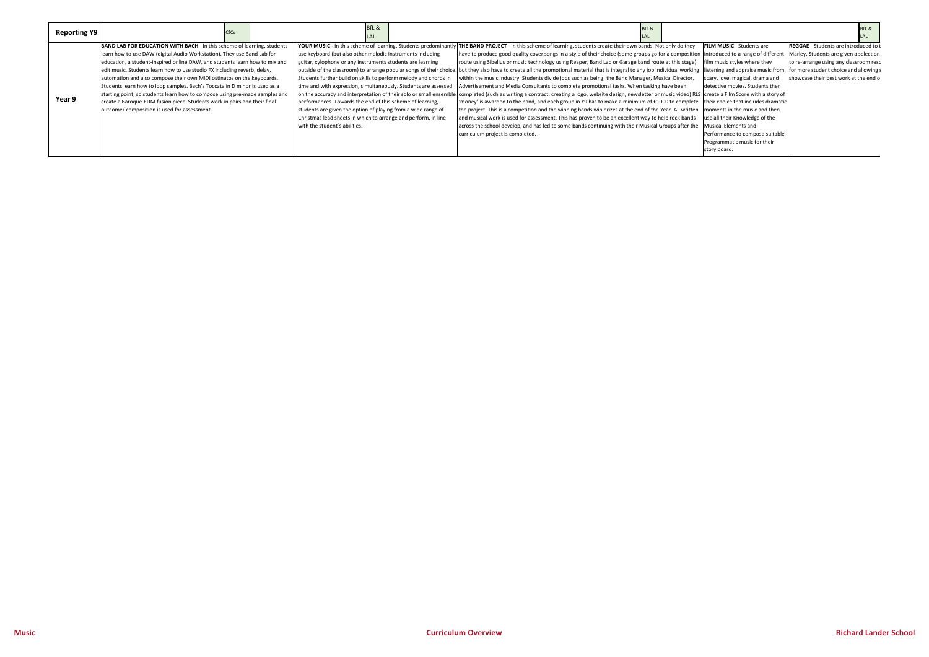| BfL & |  |
|-------|--|
| LAL.  |  |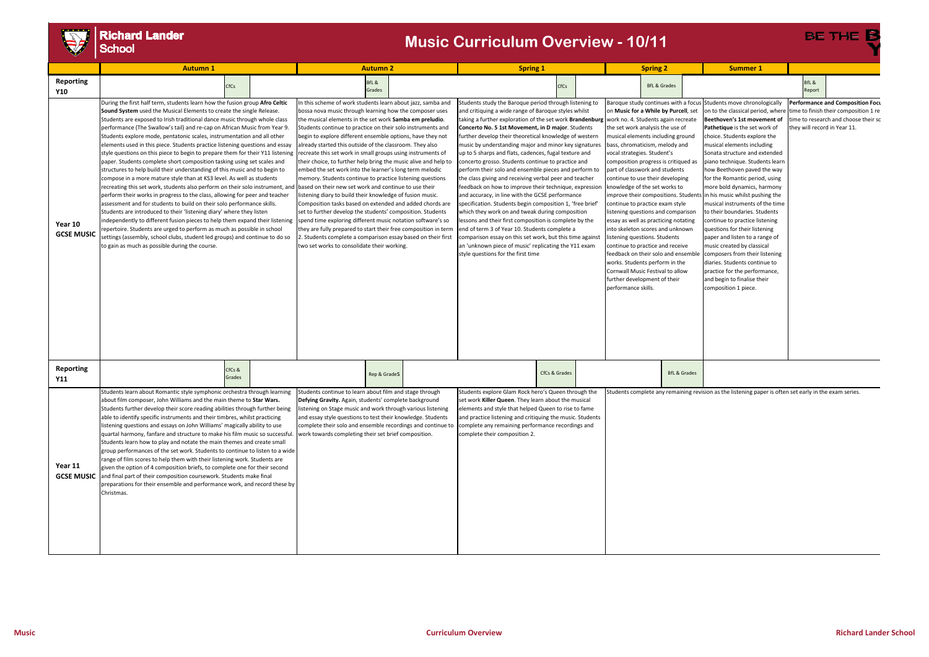# V

# **Richard Lander**<br>School

|                                            | <b>Autumn 1</b>                                                                                                                                                                                                                                                                                                                                                                                                                                                                                                                                                                                                                                                                                                                                                                                                                                                                                                                                                                                                                                                                                                                                                                                                                                                                                                                                                                                            |                  | <b>Autumn 2</b> |                                                                                                                                                                                                                                                                                                                                                                                                                                                                                                                                                                                                                                                                                                                                                                                                                                                                                                                                                                                                                                                                                                                                            | <b>Spring 1</b> |  |                                                                                                                                                                                                                                                                                                                                                                                                                                                                                                                                                                                                                                                                                                                                                                                                                                                                                                                                                                                                                                                                                                                              | <b>Spring 2</b> |  | <b>Summer 1</b>                                                                                                                                           |                                                                                                                                                                                                                                                                                                                                                                                                                                                                                                                                                                       |                         |                                                                                                                                                                                                                                                                                                                                                                                                                                                                                                                                                                                                                                                                                                                                                                                                                                                    |                                                                                                                                                            |  |
|--------------------------------------------|------------------------------------------------------------------------------------------------------------------------------------------------------------------------------------------------------------------------------------------------------------------------------------------------------------------------------------------------------------------------------------------------------------------------------------------------------------------------------------------------------------------------------------------------------------------------------------------------------------------------------------------------------------------------------------------------------------------------------------------------------------------------------------------------------------------------------------------------------------------------------------------------------------------------------------------------------------------------------------------------------------------------------------------------------------------------------------------------------------------------------------------------------------------------------------------------------------------------------------------------------------------------------------------------------------------------------------------------------------------------------------------------------------|------------------|-----------------|--------------------------------------------------------------------------------------------------------------------------------------------------------------------------------------------------------------------------------------------------------------------------------------------------------------------------------------------------------------------------------------------------------------------------------------------------------------------------------------------------------------------------------------------------------------------------------------------------------------------------------------------------------------------------------------------------------------------------------------------------------------------------------------------------------------------------------------------------------------------------------------------------------------------------------------------------------------------------------------------------------------------------------------------------------------------------------------------------------------------------------------------|-----------------|--|------------------------------------------------------------------------------------------------------------------------------------------------------------------------------------------------------------------------------------------------------------------------------------------------------------------------------------------------------------------------------------------------------------------------------------------------------------------------------------------------------------------------------------------------------------------------------------------------------------------------------------------------------------------------------------------------------------------------------------------------------------------------------------------------------------------------------------------------------------------------------------------------------------------------------------------------------------------------------------------------------------------------------------------------------------------------------------------------------------------------------|-----------------|--|-----------------------------------------------------------------------------------------------------------------------------------------------------------|-----------------------------------------------------------------------------------------------------------------------------------------------------------------------------------------------------------------------------------------------------------------------------------------------------------------------------------------------------------------------------------------------------------------------------------------------------------------------------------------------------------------------------------------------------------------------|-------------------------|----------------------------------------------------------------------------------------------------------------------------------------------------------------------------------------------------------------------------------------------------------------------------------------------------------------------------------------------------------------------------------------------------------------------------------------------------------------------------------------------------------------------------------------------------------------------------------------------------------------------------------------------------------------------------------------------------------------------------------------------------------------------------------------------------------------------------------------------------|------------------------------------------------------------------------------------------------------------------------------------------------------------|--|
| <b>Reporting</b>                           |                                                                                                                                                                                                                                                                                                                                                                                                                                                                                                                                                                                                                                                                                                                                                                                                                                                                                                                                                                                                                                                                                                                                                                                                                                                                                                                                                                                                            | CfCs             |                 |                                                                                                                                                                                                                                                                                                                                                                                                                                                                                                                                                                                                                                                                                                                                                                                                                                                                                                                                                                                                                                                                                                                                            | BfL &           |  |                                                                                                                                                                                                                                                                                                                                                                                                                                                                                                                                                                                                                                                                                                                                                                                                                                                                                                                                                                                                                                                                                                                              | <b>CfCs</b>     |  |                                                                                                                                                           | <b>BfL &amp; Grades</b>                                                                                                                                                                                                                                                                                                                                                                                                                                                                                                                                               |                         |                                                                                                                                                                                                                                                                                                                                                                                                                                                                                                                                                                                                                                                                                                                                                                                                                                                    | BfL &                                                                                                                                                      |  |
| <b>Y10</b><br>Year 10<br><b>GCSE MUSIC</b> | During the first half term, students learn how the fusion group Afro Celtic<br>Sound System used the Musical Elements to create the single Release.<br>Students are exposed to Irish traditional dance music through whole class<br>performance (The Swallow's tail) and re-cap on African Music from Year 9.<br>Students explore mode, pentatonic scales, instrumentation and all other<br>elements used in this piece. Students practice listening questions and essay<br>style questions on this piece to begin to prepare them for their Y11 listening<br>paper. Students complete short composition tasking using set scales and<br>structures to help build their understanding of this music and to begin to<br>compose in a more mature style than at KS3 level. As well as students<br>recreating this set work, students also perform on their solo instrument, and<br>perform their works in progress to the class, allowing for peer and teacher<br>assessment and for students to build on their solo performance skills.<br>Students are introduced to their 'listening diary' where they listen<br>independently to different fusion pieces to help them expand their listening<br>repertoire. Students are urged to perform as much as possible in school<br>settings (assembly, school clubs, student led groups) and continue to do so<br>to gain as much as possible during the course. |                  |                 | n this scheme of work students learn about jazz, samba and<br>bossa nova music through learning how the composer uses<br>the musical elements in the set work <b>Samba em preludio</b> .<br>Students continue to practice on their solo instruments and<br>begin to explore different ensemble options, have they not<br>already started this outside of the classroom. They also<br>ecreate this set work in small groups using instruments of<br>their choice, to further help bring the music alive and help to<br>embed the set work into the learner's long term melodic<br>memory. Students continue to practice listening questions<br>based on their new set work and continue to use their<br>listening diary to build their knowledge of fusion music.<br>Composition tasks based on extended and added chords are<br>set to further develop the students' composition. Students<br>spend time exploring different music notation software's so<br>they are fully prepared to start their free composition in term<br>. Students complete a comparison essay based on their first<br>two set works to consolidate their working. | Grades          |  | Students study the Baroque period through listening to<br>and critiquing a wide range of Baroque styles whilst<br>taking a further exploration of the set work Brandenburg   work no. 4. Students again recreate<br>Concerto No. 5 1st Movement, in D major. Students<br>further develop their theoretical knowledge of western<br>music by understanding major and minor key signatures<br>up to 5 sharps and flats, cadences, fugal texture and<br>concerto grosso. Students continue to practice and<br>perform their solo and ensemble pieces and perform to<br>the class giving and receiving verbal peer and teacher<br>feedback on how to improve their technique, expression<br>and accuracy, in line with the GCSE performance<br>specification. Students begin composition 1, 'free brief'<br>which they work on and tweak during composition<br>lessons and their first composition is complete by the<br>end of term 3 of Year 10. Students complete a<br>comparison essay on this set work, but this time against<br>an 'unknown piece of music' replicating the Y11 exam<br>style questions for the first time |                 |  | the set work analysis the use of<br>bass, chromaticism, melody and<br>vocal strategies. Student's<br>knowledge of the set works to<br>performance skills. | on <b>Music for a While by Purcell</b> , set<br>musical elements including ground<br>composition progress is critiqued as<br>part of classwork and students<br>continue to use their developing<br>continue to practice exam style<br>listening questions and comparison<br>essay as well as practicing notating<br>into skeleton scores and unknown<br>istening questions. Students<br>continue to practice and receive<br>feedback on their solo and ensemble<br>works. Students perform in the<br>Cornwall Music Festival to allow<br>further development of their |                         | Baroque study continues with a focus Students move chronologically<br>on to the classical period, wher<br>Beethoven's 1st movement of<br>Pathetique is the set work of<br>choice. Students explore the<br>musical elements including<br>Sonata structure and extended<br>piano technique. Students learr<br>how Beethoven paved the way<br>for the Romantic period, using<br>more bold dynamics, harmony<br>improve their compositions. Students in his music whilst pushing the<br>musical instruments of the time<br>to their boundaries. Students<br>continue to practice listening<br>questions for their listening<br>paper and listen to a range of<br>music created by classical<br>composers from their listening<br>diaries. Students continue to<br>practice for the performance,<br>and begin to finalise their<br>composition 1 piece. | Report<br>Performance and Composition Focu<br>time to finish their composition 1 re<br>ime to research and choose their sc<br>they will record in Year 11. |  |
| <b>Reporting</b><br>Y11                    |                                                                                                                                                                                                                                                                                                                                                                                                                                                                                                                                                                                                                                                                                                                                                                                                                                                                                                                                                                                                                                                                                                                                                                                                                                                                                                                                                                                                            | CfCs &<br>Grades |                 |                                                                                                                                                                                                                                                                                                                                                                                                                                                                                                                                                                                                                                                                                                                                                                                                                                                                                                                                                                                                                                                                                                                                            | Rep & GradeS    |  |                                                                                                                                                                                                                                                                                                                                                                                                                                                                                                                                                                                                                                                                                                                                                                                                                                                                                                                                                                                                                                                                                                                              | CfCs & Grades   |  |                                                                                                                                                           |                                                                                                                                                                                                                                                                                                                                                                                                                                                                                                                                                                       | <b>BfL &amp; Grades</b> |                                                                                                                                                                                                                                                                                                                                                                                                                                                                                                                                                                                                                                                                                                                                                                                                                                                    |                                                                                                                                                            |  |
| Year 11<br><b>GCSE MUSIC</b>               | Students learn about Romantic style symphonic orchestra through learning<br>about film composer, John Williams and the main theme to Star Wars.<br>Students further develop their score reading abilities through further being<br>able to identify specific instruments and their timbres, whilst practicing<br>listening questions and essays on John Williams' magically ability to use<br>quartal harmony, fanfare and structure to make his film music so successful.<br>Students learn how to play and notate the main themes and create small<br>group performances of the set work. Students to continue to listen to a wide<br>range of film scores to help them with their listening work. Students are<br>given the option of 4 composition briefs, to complete one for their second<br>and final part of their composition coursework. Students make final<br>preparations for their ensemble and performance work, and record these by<br>Christmas.                                                                                                                                                                                                                                                                                                                                                                                                                                          |                  |                 | Students continue to learn about film and stage through<br>Defying Gravity. Again, students' complete background<br>listening on Stage music and work through various listening<br>and essay style questions to test their knowledge. Students<br>complete their solo and ensemble recordings and continue to<br>work towards completing their set brief composition.                                                                                                                                                                                                                                                                                                                                                                                                                                                                                                                                                                                                                                                                                                                                                                      |                 |  | Students explore Glam Rock hero's Queen through the<br>set work <b>Killer Queen</b> . They learn about the musical<br>elements and style that helped Queen to rise to fame<br>and practice listening and critiquing the music. Students<br>complete any remaining performance recordings and<br>complete their composition 2.                                                                                                                                                                                                                                                                                                                                                                                                                                                                                                                                                                                                                                                                                                                                                                                                |                 |  |                                                                                                                                                           |                                                                                                                                                                                                                                                                                                                                                                                                                                                                                                                                                                       |                         | Students complete any remaining revision as the listening paper is often set early in the exam series.                                                                                                                                                                                                                                                                                                                                                                                                                                                                                                                                                                                                                                                                                                                                             |                                                                                                                                                            |  |

## **Music Curriculum Overview - 10/11**

| Summer 1 |  |  |
|----------|--|--|
|          |  |  |

BE THE B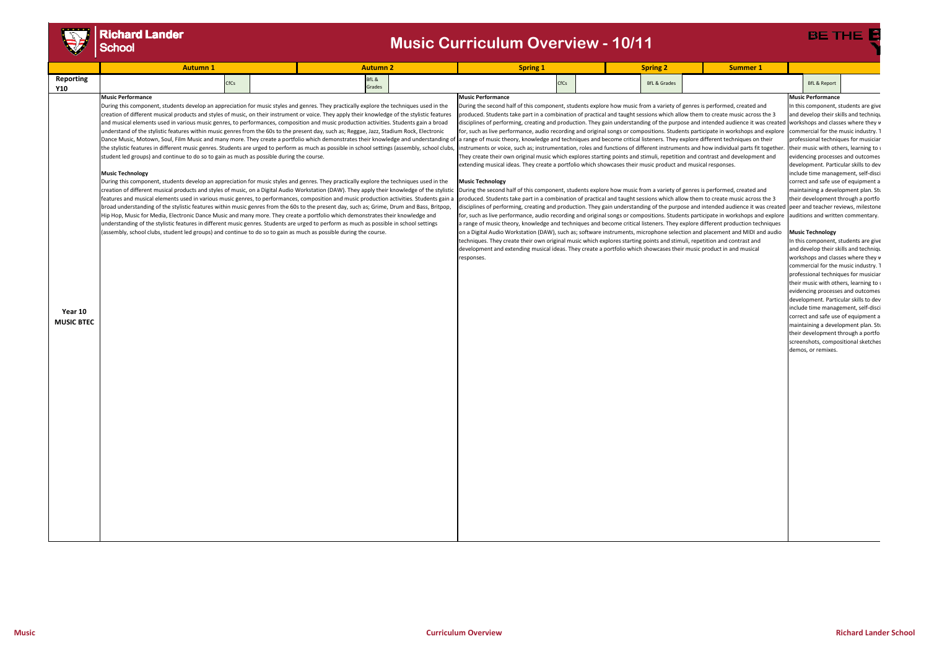

**Year 10 MUSIC BTEC**

## **Richard Lander** School

### **Music Performance**

In this component, students are give and develop their skills and techniqu workshops and classes where they w commercial for the music industry. T professional techniques for musician their music with others, learning to u evidencing processes and outcomes development. Particular skills to dev include time management, self‐disci correct and safe use of equipment a maintaining a development plan. Stu their development through a portfo auditions and written commentary.

### **Music Technology**

In this component, students are give and develop their skills and techniqu workshops and classes where they w commercial for the music industry. T professional techniques for musician their music with others, learning to u evidencing processes and outcomes development. Particular skills to dev include time management, self‐disci correct and safe use of equipment a maintaining a development plan. Stu their development through a portfo screenshots, compositional sketches demos, or remixes.

### **Music Performance**

|                  | <b>Autumn</b>            |             |        | Autumn 2 | Spring 1                 |             | <b>Spring</b>           | Summer <sub>-</sub> |                         |
|------------------|--------------------------|-------------|--------|----------|--------------------------|-------------|-------------------------|---------------------|-------------------------|
| <b>Reporting</b> |                          | <b>CfCs</b> | BfL &  |          |                          | <b>CfCs</b> | <b>BfL &amp; Grades</b> |                     | <b>BfL &amp; Report</b> |
| <b>Y10</b>       |                          |             | Grades |          |                          |             |                         |                     |                         |
|                  | <b>Music Performance</b> |             |        |          | <b>Music Performance</b> |             |                         |                     | Music Performano        |

During this component, students develop an appreciation for music styles and genres. They practically explore the techniques used in the creation of different musical products and styles of music, on their instrument or voice. They apply their knowledge of the stylistic features and musical elements used in various music genres, to performances, composition and music production activities. Students gain a broad understand of the stylistic features within music genres from the 60s to the present day, such as; Reggae, Jazz, Stadium Rock, Electronic Dance Music, Motown, Soul, Film Music and many more. They create a portfolio which demonstrates their knowledge and understanding of the stylistic features in different music genres. Students are urged to perform as much as possible in school settings (assembly, school clubs, student led groups) and continue to do so to gain as much as possible during the course.

### **Music Technology**

disciplines of performing, creating and production. They gain understanding of the purpose and intended audience it was created |peer and teacher reviews, milestone During the second half of this component, students explore how music from a variety of genres is performed, created and produced. Students take part in a combination of practical and taught sessions which allow them to create music across the 3 for, such as live performance, audio recording and original songs or compositions. Students participate in workshops and explore a range of music theory, knowledge and techniques and become critical listeners. They explore different production techniques on a Digital Audio Workstation (DAW), such as; software instruments, microphone selection and placement and MIDI and audio techniques. They create their own original music which explores starting points and stimuli, repetition and contrast and development and extending musical ideas. They create a portfolio which showcases their music product in and musical responses.

During this component, students develop an appreciation for music styles and genres. They practically explore the techniques used in the creation of different musical products and styles of music, on a Digital Audio Workstation (DAW). They apply their knowledge of the stylistic features and musical elements used in various music genres, to performances, composition and music production activities. Students gain a broad understanding of the stylistic features within music genres from the 60s to the present day, such as; Grime, Drum and Bass, Britpop, Hip Hop, Music for Media, Electronic Dance Music and many more. They create a portfolio which demonstrates their knowledge and understanding of the stylistic features in different music genres. Students are urged to perform as much as possible in school settings (assembly, school clubs, student led groups) and continue to do so to gain as much as possible during the course. **Music Technology**

During the second half of this component, students explore how music from a variety of genres is performed, created and produced. Students take part in a combination of practical and taught sessions which allow them to create music across the 3 disciplines of performing, creating and production. They gain understanding of the purpose and intended audience it was created for, such as live performance, audio recording and original songs or compositions. Students participate in workshops and explore a range of music theory, knowledge and techniques and become critical listeners. They explore different techniques on their instruments or voice, such as; instrumentation, roles and functions of different instruments and how individual parts fit together. They create their own original music which explores starting points and stimuli, repetition and contrast and development and extending musical ideas. They create a portfolio which showcases their music product and musical responses.

# **Music Curriculum Overview - 10/11**

## **BE THE**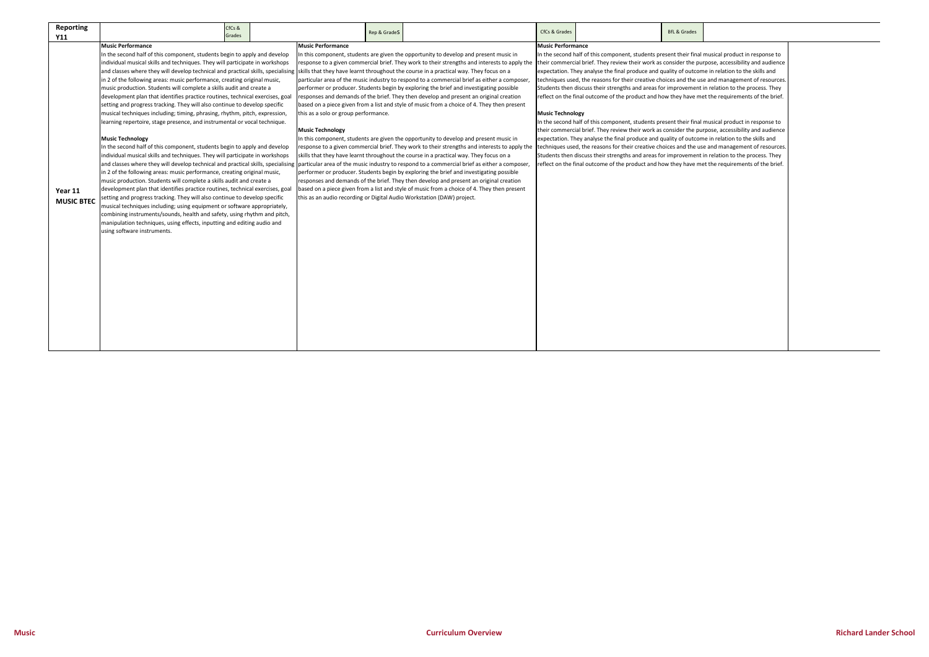| <b>Reporting</b>             | CfCs &                                                                                                                                                                                                                                                                                                                                                                                                                                                                                                                                                                                                                                                                                                                                                                                                                                                                                                                                                                                                                                                                                                                                                                                                                                                                                                                                                                                                                                                                                                                                                                                                                   |                                                                                                                                                                       |                                                                                                                                                                                                                                                                                                                                                                                                                                                                                                                                                                                                                                                                                                                                                                                                                                                                                                                                                                                                                                                                                                                                                                                                                                                                                                                                                                                                                                                                                                                                                 | CfCs & Grades                                       |                                                                                                                                                                                                                                                                                                                                                                                                                                                                                                                                                                                                                                                                                                                                                                                                                                                                                                                                                                                                                                          | <b>BfL &amp; Grades</b> |  |
|------------------------------|--------------------------------------------------------------------------------------------------------------------------------------------------------------------------------------------------------------------------------------------------------------------------------------------------------------------------------------------------------------------------------------------------------------------------------------------------------------------------------------------------------------------------------------------------------------------------------------------------------------------------------------------------------------------------------------------------------------------------------------------------------------------------------------------------------------------------------------------------------------------------------------------------------------------------------------------------------------------------------------------------------------------------------------------------------------------------------------------------------------------------------------------------------------------------------------------------------------------------------------------------------------------------------------------------------------------------------------------------------------------------------------------------------------------------------------------------------------------------------------------------------------------------------------------------------------------------------------------------------------------------|-----------------------------------------------------------------------------------------------------------------------------------------------------------------------|-------------------------------------------------------------------------------------------------------------------------------------------------------------------------------------------------------------------------------------------------------------------------------------------------------------------------------------------------------------------------------------------------------------------------------------------------------------------------------------------------------------------------------------------------------------------------------------------------------------------------------------------------------------------------------------------------------------------------------------------------------------------------------------------------------------------------------------------------------------------------------------------------------------------------------------------------------------------------------------------------------------------------------------------------------------------------------------------------------------------------------------------------------------------------------------------------------------------------------------------------------------------------------------------------------------------------------------------------------------------------------------------------------------------------------------------------------------------------------------------------------------------------------------------------|-----------------------------------------------------|------------------------------------------------------------------------------------------------------------------------------------------------------------------------------------------------------------------------------------------------------------------------------------------------------------------------------------------------------------------------------------------------------------------------------------------------------------------------------------------------------------------------------------------------------------------------------------------------------------------------------------------------------------------------------------------------------------------------------------------------------------------------------------------------------------------------------------------------------------------------------------------------------------------------------------------------------------------------------------------------------------------------------------------|-------------------------|--|
| <b>Y11</b>                   | Grades                                                                                                                                                                                                                                                                                                                                                                                                                                                                                                                                                                                                                                                                                                                                                                                                                                                                                                                                                                                                                                                                                                                                                                                                                                                                                                                                                                                                                                                                                                                                                                                                                   | Rep & GradeS                                                                                                                                                          |                                                                                                                                                                                                                                                                                                                                                                                                                                                                                                                                                                                                                                                                                                                                                                                                                                                                                                                                                                                                                                                                                                                                                                                                                                                                                                                                                                                                                                                                                                                                                 |                                                     |                                                                                                                                                                                                                                                                                                                                                                                                                                                                                                                                                                                                                                                                                                                                                                                                                                                                                                                                                                                                                                          |                         |  |
| Year 11<br><b>MUSIC BTEC</b> | <b>Music Performance</b><br>In the second half of this component, students begin to apply and develop<br>individual musical skills and techniques. They will participate in workshops<br>and classes where they will develop technical and practical skills, specialising<br>in 2 of the following areas: music performance, creating original music,<br>music production. Students will complete a skills audit and create a<br>development plan that identifies practice routines, technical exercises, goal<br>setting and progress tracking. They will also continue to develop specific<br>musical techniques including; timing, phrasing, rhythm, pitch, expression,<br>learning repertoire, stage presence, and instrumental or vocal technique.<br><b>Music Technology</b><br>In the second half of this component, students begin to apply and develop<br>individual musical skills and techniques. They will participate in workshops<br>and classes where they will develop technical and practical skills, specialising<br>in 2 of the following areas: music performance, creating original music,<br>music production. Students will complete a skills audit and create a<br>development plan that identifies practice routines, technical exercises, goal<br>setting and progress tracking. They will also continue to develop specific<br>musical techniques including; using equipment or software appropriately,<br>combining instruments/sounds, health and safety, using rhythm and pitch,<br>manipulation techniques, using effects, inputting and editing audio and<br>using software instruments. | <b>Music Performance</b><br>this as a solo or group performance.<br><b>Music Technology</b><br>this as an audio recording or Digital Audio Workstation (DAW) project. | In this component, students are given the opportunity to develop and present music in<br>response to a given commercial brief. They work to their strengths and interests to apply the their commercial brief. They review their work as consider the purpose, accessibility and audience<br>skills that they have learnt throughout the course in a practical way. They focus on a<br>particular area of the music industry to respond to a commercial brief as either a composer<br>performer or producer. Students begin by exploring the brief and investigating possible<br>responses and demands of the brief. They then develop and present an original creation<br>based on a piece given from a list and style of music from a choice of 4. They then present<br>In this component, students are given the opportunity to develop and present music in<br>response to a given commercial brief. They work to their strengths and interests to apply the techniques used, the reasons for their creative choices and the use and management of resources.<br>skills that they have learnt throughout the course in a practical way. They focus on a<br>particular area of the music industry to respond to a commercial brief as either a composer,<br>performer or producer. Students begin by exploring the brief and investigating possible<br>responses and demands of the brief. They then develop and present an original creation<br>based on a piece given from a list and style of music from a choice of 4. They then present | <b>Music Performance</b><br><b>Music Technology</b> | In the second half of this component, students present their final musical product in response to<br>expectation. They analyse the final produce and quality of outcome in relation to the skills and<br>techniques used, the reasons for their creative choices and the use and management of resources.<br>Students then discuss their strengths and areas for improvement in relation to the process. They<br>reflect on the final outcome of the product and how they have met the requirements of the brief.<br>In the second half of this component, students present their final musical product in response to<br>their commercial brief. They review their work as consider the purpose, accessibility and audience<br>expectation. They analyse the final produce and quality of outcome in relation to the skills and<br>Students then discuss their strengths and areas for improvement in relation to the process. They<br>reflect on the final outcome of the product and how they have met the requirements of the brief. |                         |  |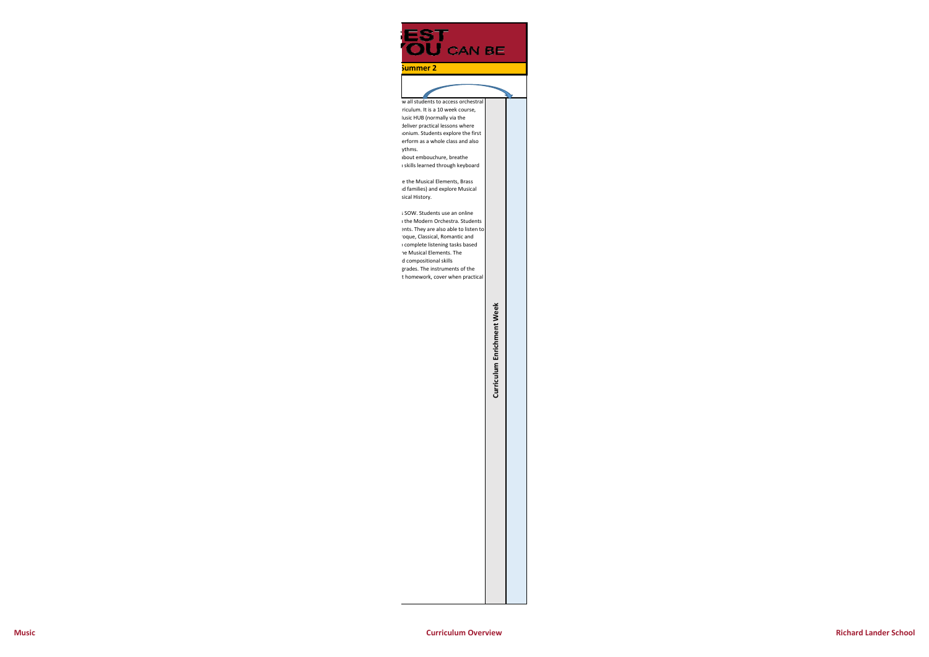w all students to access orchestra rriculum. It is a 10 week course, Iusic HUB (normally via the deliver practical lessons where honium. Students explore the first erform as a whole class and also ythms. about embouchure, breathe n skills learned through keyboard

e the Musical Elements, Brass nd families) and explore Musical sical History.

# Curriculum Enrichment Week **Curriculum Enrichment Week**

s SOW. Students use an online n the Modern Orchestra. Students ents. They are also able to listen to roque, Classical, Romantic and o complete listening tasks based he Musical Elements. The d compositional skills grades. The instruments of the t homework, cover when practical

# **EST<br>OU** CAN BE

**Summer 2**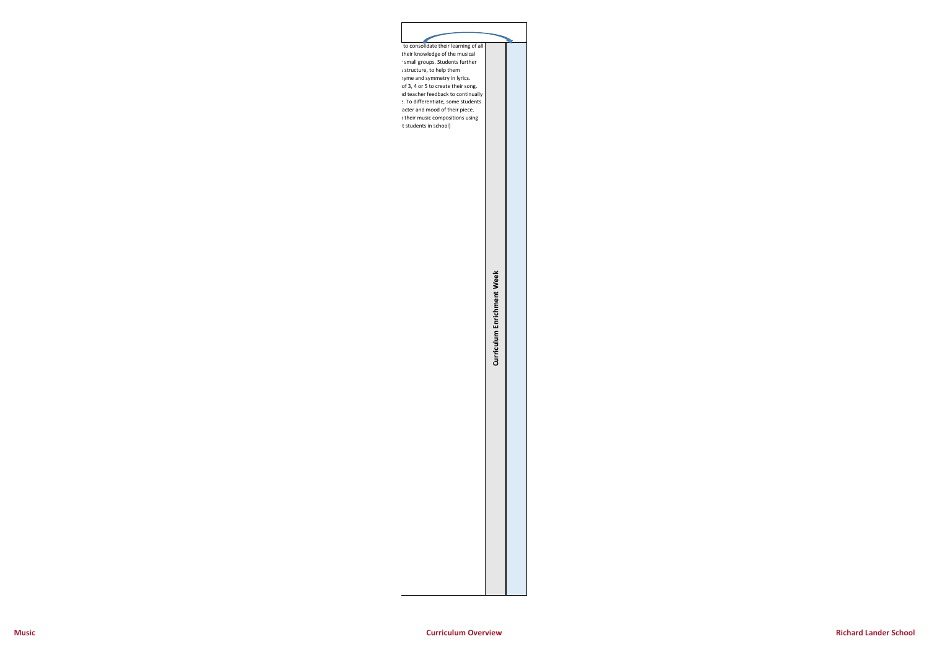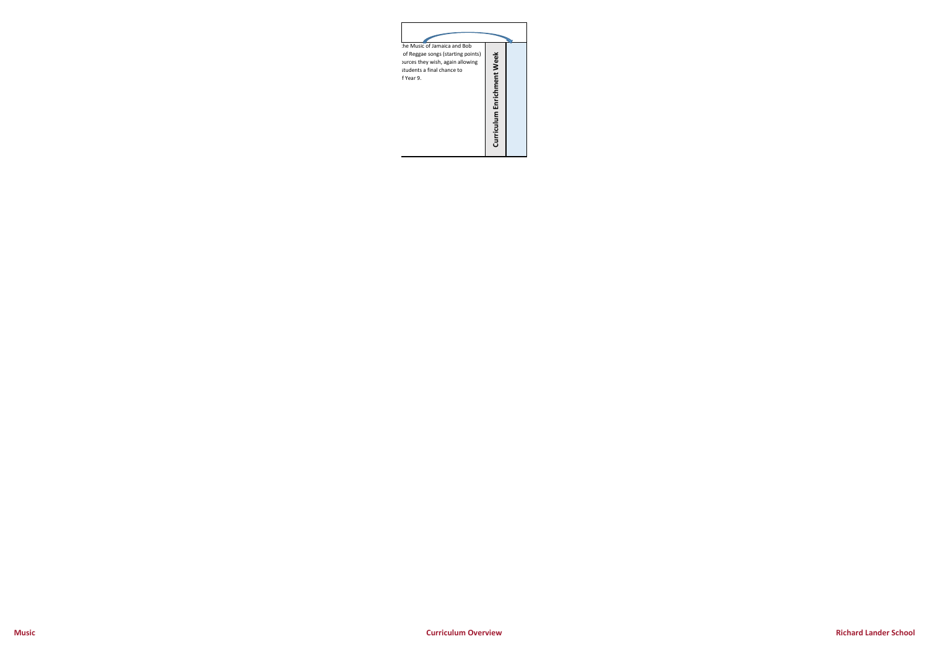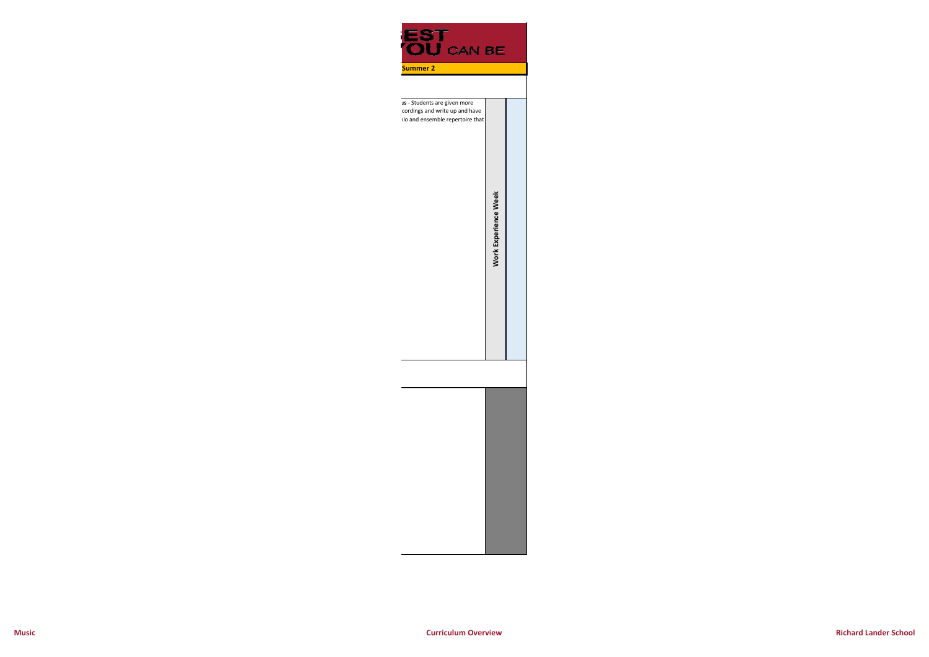Work Experience Week **Work Experience Week**



cordings and write up and have olo and ensemble repertoire that

**Music**

**Curriculum Overview**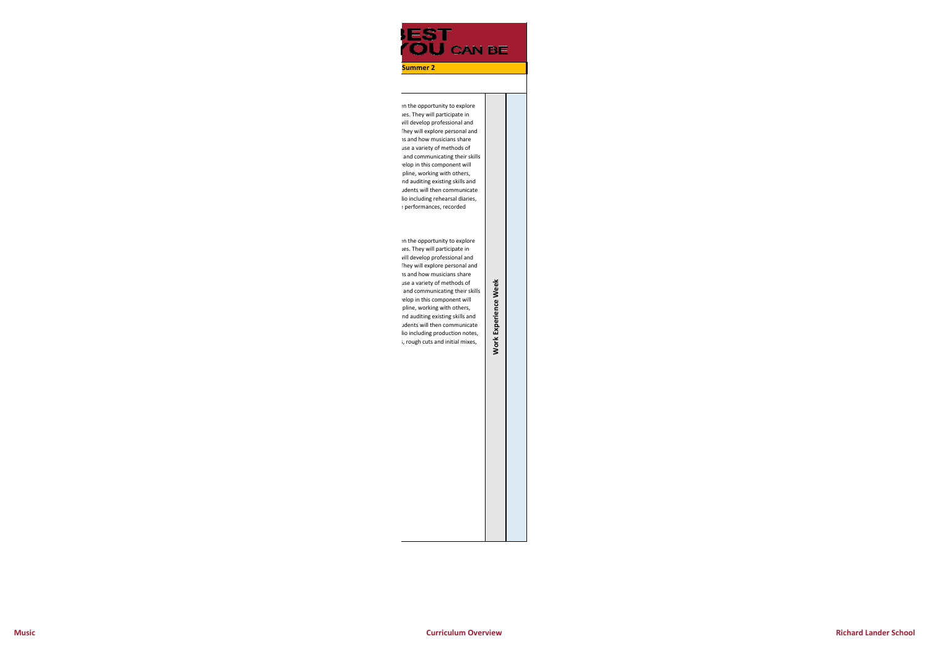**EST<br>YOU** CAN BE

**Summer 2**

en the opportunity to explore ues. They will participate in will develop professional and They will explore personal and ns and how musicians share use a variety of methods of and communicating their skills velop in this component will ipline, working with others, nd auditing existing skills and udents will then communicate lio including rehearsal diaries, e performances, recorded

en the opportunity to explore ues. They will participate in will develop professional and They will explore personal and ns and how musicians share use a variety of methods of and communicating their skills velop in this component will ipline, working with others, nd auditing existing skills and udents will then communicate lio including production notes, s, rough cuts and initial mixes,

**Work Experience Week**

**Work Experience** 

Week

**Curriculum Overview**